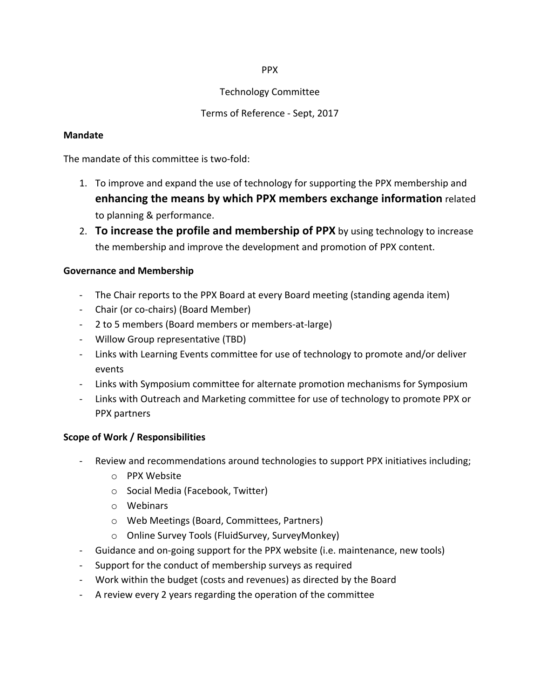### PPX

## Technology Committee

# Terms of Reference - Sept, 2017

## **Mandate**

The mandate of this committee is two-fold:

- 1. To improve and expand the use of technology for supporting the PPX membership and **enhancing the means by which PPX members exchange information related** to planning & performance.
- 2. **To increase the profile and membership of PPX** by using technology to increase the membership and improve the development and promotion of PPX content.

## **Governance and Membership**

- The Chair reports to the PPX Board at every Board meeting (standing agenda item)
- Chair (or co-chairs) (Board Member)
- 2 to 5 members (Board members or members-at-large)
- Willow Group representative (TBD)
- Links with Learning Events committee for use of technology to promote and/or deliver events
- Links with Symposium committee for alternate promotion mechanisms for Symposium
- Links with Outreach and Marketing committee for use of technology to promote PPX or PPX partners

# **Scope of Work / Responsibilities**

- Review and recommendations around technologies to support PPX initiatives including;
	- o PPX Website
	- o Social Media (Facebook, Twitter)
	- o Webinars
	- o Web Meetings (Board, Committees, Partners)
	- $\circ$  Online Survey Tools (FluidSurvey, SurveyMonkey)
- Guidance and on-going support for the PPX website (i.e. maintenance, new tools)
- Support for the conduct of membership surveys as required
- Work within the budget (costs and revenues) as directed by the Board
- A review every 2 years regarding the operation of the committee